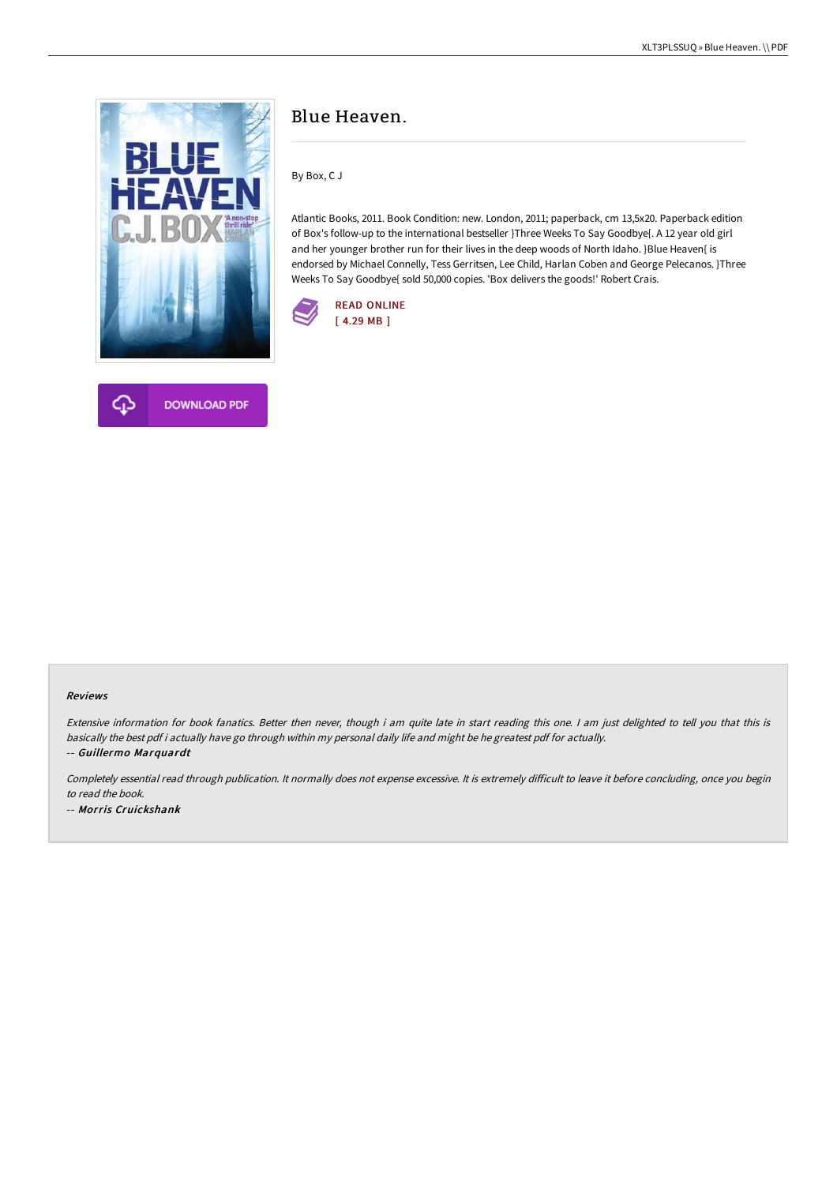

# Blue Heaven.

By Box, C J

Atlantic Books, 2011. Book Condition: new. London, 2011; paperback, cm 13,5x20. Paperback edition of Box's follow-up to the international bestseller }Three Weeks To Say Goodbye{. A 12 year old girl and her younger brother run for their lives in the deep woods of North Idaho. }Blue Heaven{ is endorsed by Michael Connelly, Tess Gerritsen, Lee Child, Harlan Coben and George Pelecanos. }Three Weeks To Say Goodbye{ sold 50,000 copies. 'Box delivers the goods!' Robert Crais.





#### Reviews

Extensive information for book fanatics. Better then never, though i am quite late in start reading this one. <sup>I</sup> am just delighted to tell you that this is basically the best pdf i actually have go through within my personal daily life and might be he greatest pdf for actually. -- Guillermo Marquardt

Completely essential read through publication. It normally does not expense excessive. It is extremely difficult to leave it before concluding, once you begin to read the book.

-- Morris Cruickshank